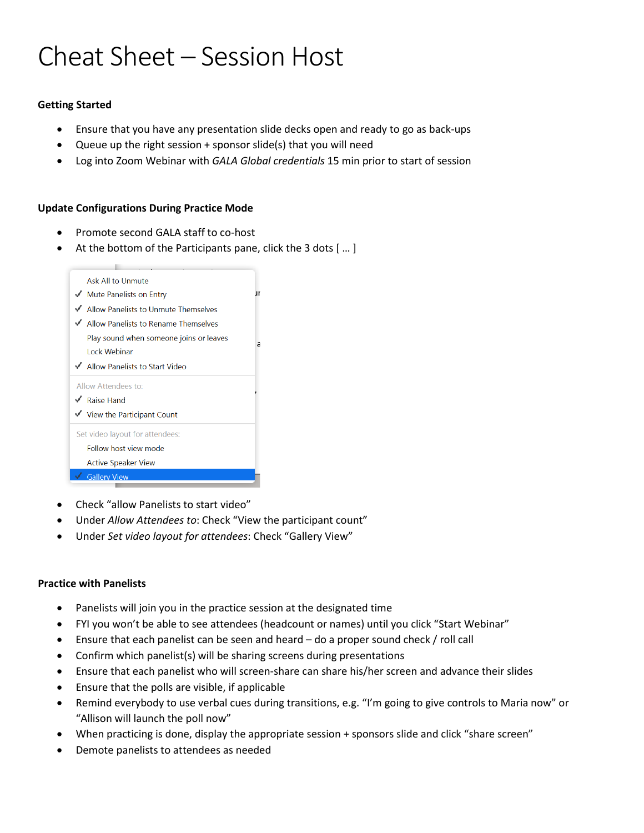# Cheat Sheet – Session Host

## **Getting Started**

- Ensure that you have any presentation slide decks open and ready to go as back-ups
- Queue up the right session + sponsor slide(s) that you will need
- Log into Zoom Webinar with *GALA Global credentials* 15 min prior to start of session

### **Update Configurations During Practice Mode**

- Promote second GALA staff to co-host
- At the bottom of the Participants pane, click the 3 dots [ ... ]



- Check "allow Panelists to start video"
- Under *Allow Attendees to*: Check "View the participant count"
- Under *Set video layout for attendees*: Check "Gallery View"

### **Practice with Panelists**

- Panelists will join you in the practice session at the designated time
- FYI you won't be able to see attendees (headcount or names) until you click "Start Webinar"
- Ensure that each panelist can be seen and heard do a proper sound check / roll call
- Confirm which panelist(s) will be sharing screens during presentations
- Ensure that each panelist who will screen-share can share his/her screen and advance their slides
- Ensure that the polls are visible, if applicable
- Remind everybody to use verbal cues during transitions, e.g. "I'm going to give controls to Maria now" or "Allison will launch the poll now"
- When practicing is done, display the appropriate session + sponsors slide and click "share screen"
- Demote panelists to attendees as needed